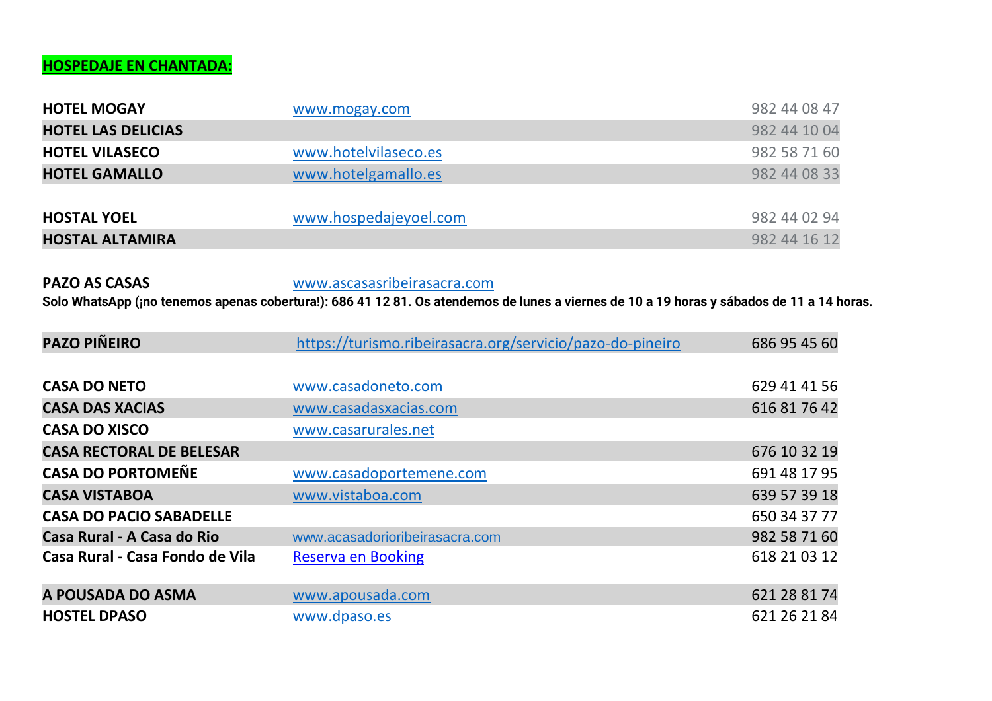### **HOSPEDAJE EN CHANTADA:**

| <b>HOTEL MOGAY</b>        | www.mogay.com         | 982 44 08 47 |
|---------------------------|-----------------------|--------------|
| <b>HOTEL LAS DELICIAS</b> |                       | 982 44 10 04 |
| <b>HOTEL VILASECO</b>     | www.hotelvilaseco.es  | 982 58 71 60 |
| <b>HOTEL GAMALLO</b>      | www.hotelgamallo.es   | 982 44 08 33 |
|                           |                       |              |
| <b>HOSTAL YOEL</b>        | www.hospedajeyoel.com | 982 44 02 94 |
| <b>HOSTAL ALTAMIRA</b>    |                       | 982 44 16 12 |

**PAZO AS CASAS** [www.ascasasribeirasacra.com](http://www.ascasasribeirasacra.com/) **Solo WhatsApp (¡no tenemos apenas cobertura!): 686 41 12 81. Os atendemos de lunes a viernes de 10 a 19 horas y sábados de 11 a 14 horas.**

| <b>PAZO PIÑEIRO</b>             | https://turismo.ribeirasacra.org/servicio/pazo-do-pineiro | 686 95 45 60 |
|---------------------------------|-----------------------------------------------------------|--------------|
|                                 |                                                           |              |
| <b>CASA DO NETO</b>             | www.casadoneto.com                                        | 629 41 41 56 |
| <b>CASA DAS XACIAS</b>          | www.casadasxacias.com                                     | 616 81 76 42 |
| <b>CASA DO XISCO</b>            | www.casarurales.net                                       |              |
| <b>CASA RECTORAL DE BELESAR</b> |                                                           | 676 10 32 19 |
| <b>CASA DO PORTOMEÑE</b>        | www.casadoportemene.com                                   | 691 48 17 95 |
| <b>CASA VISTABOA</b>            | www.vistaboa.com                                          | 639 57 39 18 |
| <b>CASA DO PACIO SABADELLE</b>  |                                                           | 650 34 37 77 |
| Casa Rural - A Casa do Rio      | www.acasadorioribeirasacra.com                            | 982 58 71 60 |
| Casa Rural - Casa Fondo de Vila | <b>Reserva en Booking</b>                                 | 618 21 03 12 |
|                                 |                                                           |              |
| A POUSADA DO ASMA               | www.apousada.com                                          | 621 28 81 74 |
| <b>HOSTEL DPASO</b>             | www.dpaso.es                                              | 621 26 21 84 |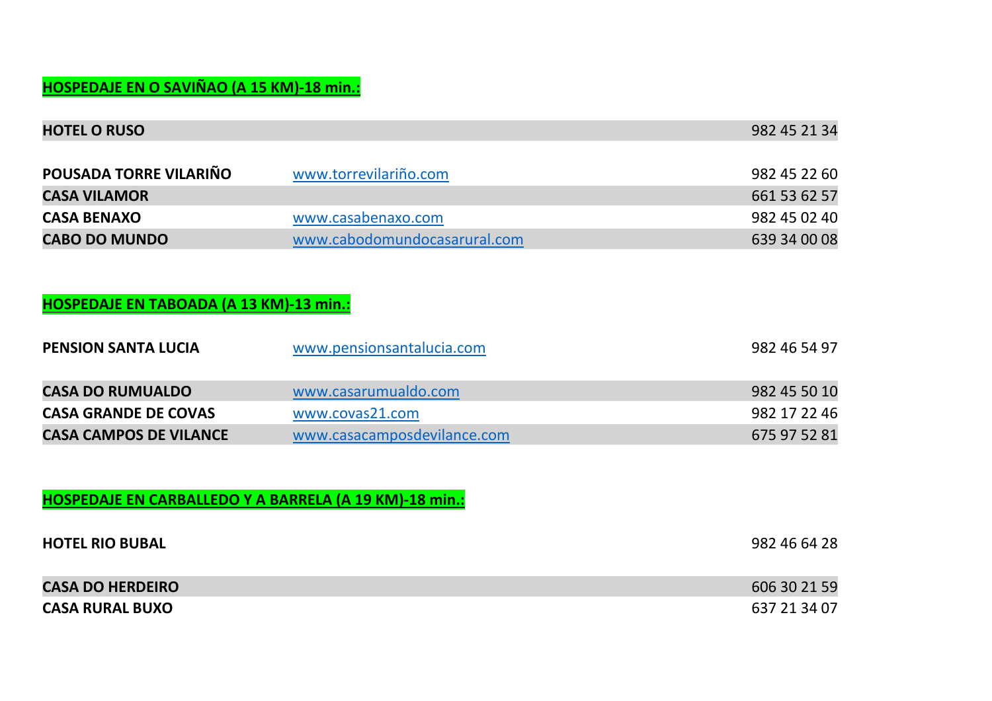# **HOSPEDAJE EN O SAVIÑAO (A 15 KM)-18 min.:**

| <b>HOTEL O RUSO</b>                                           |                              | 982 45 21 34 |
|---------------------------------------------------------------|------------------------------|--------------|
|                                                               |                              |              |
| POUSADA TORRE VILARIÑO                                        | www.torrevilariño.com        | 982 45 22 60 |
| <b>CASA VILAMOR</b>                                           |                              | 661 53 62 57 |
| <b>CASA BENAXO</b>                                            | www.casabenaxo.com           | 982 45 02 40 |
| <b>CABO DO MUNDO</b>                                          | www.cabodomundocasarural.com | 639 34 00 08 |
| HOSPEDAJE EN TABOADA (A 13 KM)-13 min.:                       |                              |              |
| <b>PENSION SANTA LUCIA</b>                                    | www.pensionsantalucia.com    | 982 46 54 97 |
| <b>CASA DO RUMUALDO</b>                                       | www.casarumualdo.com         | 982 45 50 10 |
| <b>CASA GRANDE DE COVAS</b>                                   | www.covas21.com              | 982 17 22 46 |
| <b>CASA CAMPOS DE VILANCE</b>                                 | www.casacamposdevilance.com  | 675 97 52 81 |
|                                                               |                              |              |
| <b>HOSPEDAJE EN CARBALLEDO Y A BARRELA (A 19 KM)-18 min.:</b> |                              |              |
| <b>HOTEL RIO BUBAL</b>                                        |                              | 982 46 64 28 |
| <b>CASA DO HERDEIRO</b>                                       |                              | 606 30 21 59 |
| <b>CASA RURAL BUXO</b>                                        |                              | 637 21 34 07 |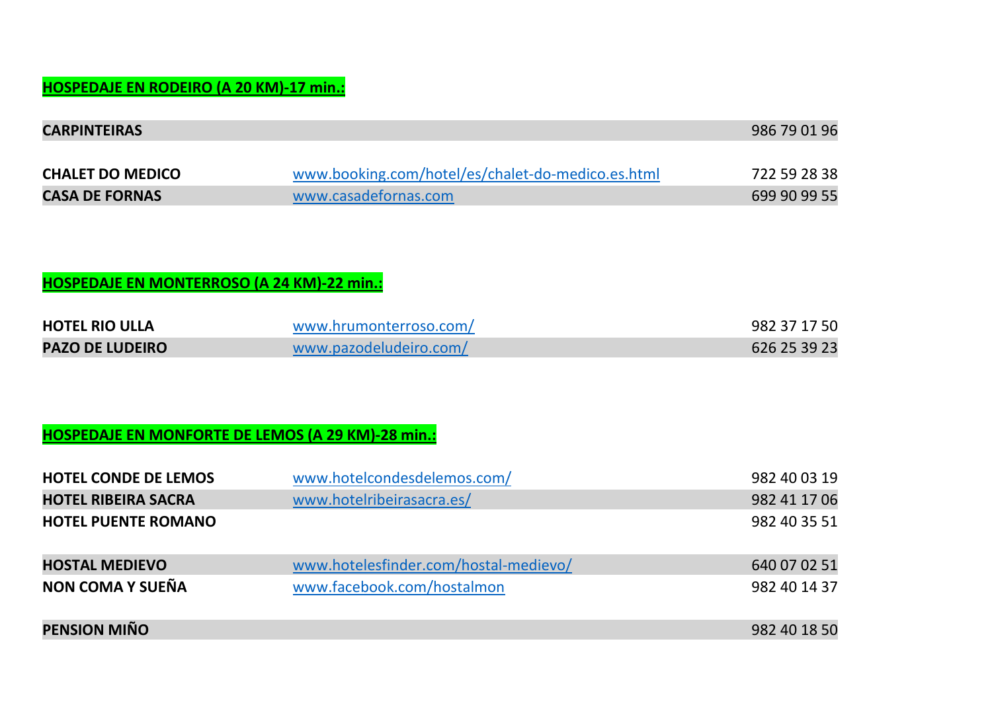## **HOSPEDAJE EN RODEIRO (A 20 KM)-17 min.:**

| <b>CARPINTEIRAS</b>     |                                                   | 986 79 01 96 |
|-------------------------|---------------------------------------------------|--------------|
|                         |                                                   |              |
| <b>CHALET DO MEDICO</b> | www.booking.com/hotel/es/chalet-do-medico.es.html | 722 59 28 38 |
| <b>CASA DE FORNAS</b>   | www.casadefornas.com                              | 699 90 99 55 |

### **HOSPEDAJE EN MONTERROSO (A 24 KM)-22 min.:**

| <b>HOTEL RIO ULLA</b>  | www.hrumonterroso.com/ | 982 37 17 50 |
|------------------------|------------------------|--------------|
| <b>PAZO DE LUDEIRO</b> | www.pazodeludeiro.com/ | 626 25 39 23 |

### **HOSPEDAJE EN MONFORTE DE LEMOS (A 29 KM)-28 min.:**

| <b>HOTEL CONDE DE LEMOS</b> | www.hotelcondesdelemos.com/           | 982 40 03 19 |
|-----------------------------|---------------------------------------|--------------|
| <b>HOTEL RIBEIRA SACRA</b>  | www.hotelribeirasacra.es/             | 982 41 17 06 |
| <b>HOTEL PUENTE ROMANO</b>  |                                       | 982 40 35 51 |
| <b>HOSTAL MEDIEVO</b>       | www.hotelesfinder.com/hostal-medievo/ | 640 07 02 51 |
| NON COMA Y SUEÑA            | www.facebook.com/hostalmon            | 982 40 14 37 |
| <b>PENSION MIÑO</b>         |                                       | 982 40 18 50 |